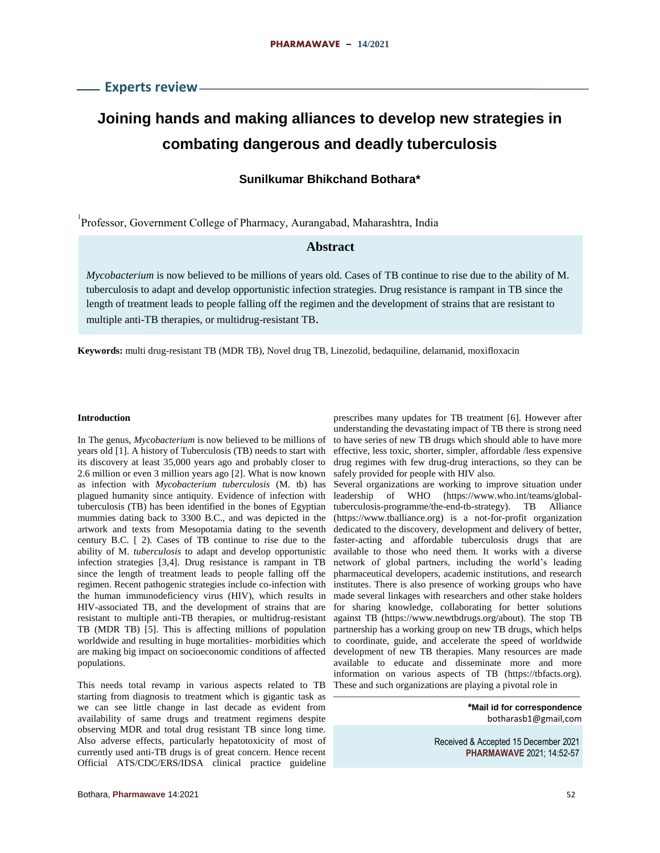# **Joining hands and making alliances to develop new strategies in combating dangerous and deadly tuberculosis**

# **Sunilkumar Bhikchand Bothara\***

1 Professor, Government College of Pharmacy, Aurangabad, Maharashtra, India

# **Abstract**

*Mycobacterium* is now believed to be millions of years old. Cases of TB continue to rise due to the ability of M. tuberculosis to adapt and develop opportunistic infection strategies. Drug resistance is rampant in TB since the length of treatment leads to people falling off the regimen and the development of strains that are resistant to multiple anti-TB therapies, or multidrug-resistant TB.

**Keywords:** multi drug-resistant TB (MDR TB), Novel drug TB, Linezolid, bedaquiline, delamanid, moxifloxacin

#### **Introduction**

In The genus, *Mycobacterium* is now believed to be millions of years old [1]. A history of Tuberculosis (TB) needs to start with its discovery at least 35,000 years ago and probably closer to 2.6 million or even 3 million years ago [2]. What is now known as infection with *Mycobacterium tuberculosis* (M. tb) has plagued humanity since antiquity. Evidence of infection with tuberculosis (TB) has been identified in the bones of Egyptian mummies dating back to 3300 B.C., and was depicted in the artwork and texts from Mesopotamia dating to the seventh century B.C. [ 2). Cases of TB continue to rise due to the ability of M. *tuberculosis* to adapt and develop opportunistic infection strategies [3,4]. Drug resistance is rampant in TB since the length of treatment leads to people falling off the regimen. Recent pathogenic strategies include co-infection with the human immunodeficiency virus (HIV), which results in HIV-associated TB, and the development of strains that are resistant to multiple anti-TB therapies, or multidrug-resistant TB (MDR TB) [5]. This is affecting millions of population worldwide and resulting in huge mortalities- morbidities which are making big impact on socioeconomic conditions of affected populations.

This needs total revamp in various aspects related to TB starting from diagnosis to treatment which is gigantic task as we can see little change in last decade as evident from availability of same drugs and treatment regimens despite observing MDR and total drug resistant TB since long time. Also adverse effects, particularly hepatotoxicity of most of currently used anti-TB drugs is of great concern. Hence recent Official ATS/CDC/ERS/IDSA clinical practice guideline

prescribes many updates for TB treatment [6]. However after understanding the devastating impact of TB there is strong need to have series of new TB drugs which should able to have more effective, less toxic, shorter, simpler, affordable /less expensive drug regimes with few drug-drug interactions, so they can be safely provided for people with HIV also.

Several organizations are working to improve situation under leadership of WHO (https://www.who.int/teams/globaltuberculosis-programme/the-end-tb-strategy). TB Alliance (https://www.tballiance.org) is a not-for-profit organization dedicated to the discovery, development and delivery of better, faster-acting and affordable tuberculosis drugs that are available to those who need them. It works with a diverse network of global partners, including the world's leading pharmaceutical developers, academic institutions, and research institutes. There is also presence of working groups who have made several linkages with researchers and other stake holders for sharing knowledge, collaborating for better solutions against TB (https://www.newtbdrugs.org/about). The stop TB partnership has a working group on new TB drugs, which helps to coordinate, guide, and accelerate the speed of worldwide development of new TB therapies. Many resources are made available to educate and disseminate more and more information on various aspects of TB (https://tbfacts.org). These and such organizations are playing a pivotal role in

> **\*Mail id for correspondence** botharasb1@gmail,com

Received & Accepted 15 December 2021 **PHARMAWAVE** 2021; 14:52-57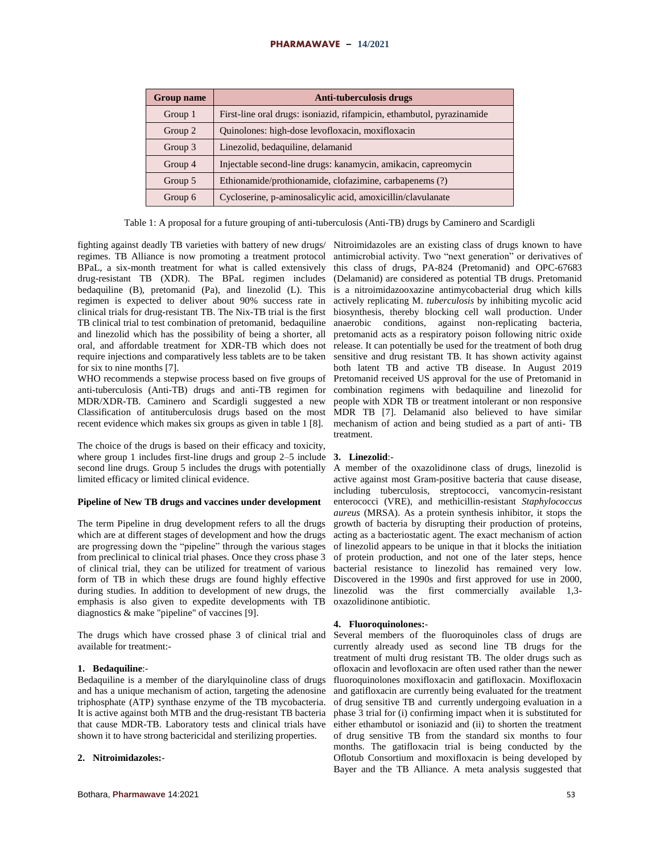### **PHARMAWAVE – 14/2021**

| <b>Group name</b> | Anti-tuberculosis drugs                                                |
|-------------------|------------------------------------------------------------------------|
| Group 1           | First-line oral drugs: isoniazid, rifampicin, ethambutol, pyrazinamide |
| Group 2           | Quinolones: high-dose levofloxacin, moxifloxacin                       |
| Group 3           | Linezolid, bedaquiline, delamanid                                      |
| Group 4           | Injectable second-line drugs: kanamycin, amikacin, capreomycin         |
| Group 5           | Ethionamide/prothionamide, clofazimine, carbapenems (?)                |
| Group 6           | Cycloserine, p-aminosalicylic acid, amoxicillin/clavulanate            |

Table 1: A proposal for a future grouping of anti-tuberculosis (Anti-TB) drugs by Caminero and Scardigli

fighting against deadly TB varieties with battery of new drugs/ Nitroimidazoles are an existing class of drugs known to have regimes. TB Alliance is now promoting a treatment protocol BPaL, a six-month treatment for what is called extensively drug-resistant TB (XDR). The BPaL regimen includes bedaquiline (B), pretomanid (Pa), and linezolid (L). This regimen is expected to deliver about 90% success rate in clinical trials for drug-resistant TB. The Nix-TB trial is the first TB clinical trial to test combination of pretomanid, bedaquiline and linezolid which has the possibility of being a shorter, all oral, and affordable treatment for XDR-TB which does not require injections and comparatively less tablets are to be taken for six to nine months [7].

WHO recommends a stepwise process based on five groups of anti-tuberculosis (Anti-TB) drugs and anti-TB regimen for MDR/XDR-TB. Caminero and Scardigli suggested a new Classification of antituberculosis drugs based on the most recent evidence which makes six groups as given in table 1 [8].

The choice of the drugs is based on their efficacy and toxicity, where group 1 includes first-line drugs and group 2–5 include second line drugs. Group 5 includes the drugs with potentially limited efficacy or limited clinical evidence.

# **Pipeline of New TB drugs and vaccines under development**

The term Pipeline in drug development refers to all the drugs which are at different stages of development and how the drugs are progressing down the "pipeline" through the various stages from preclinical to clinical trial phases. Once they cross phase 3 of clinical trial, they can be utilized for treatment of various form of TB in which these drugs are found highly effective during studies. In addition to development of new drugs, the emphasis is also given to expedite developments with TB diagnostics & make "pipeline" of vaccines [9].

The drugs which have crossed phase 3 of clinical trial and available for treatment:-

# **1. Bedaquiline**:-

Bedaquiline is a member of the diarylquinoline class of drugs and has a unique mechanism of action, targeting the adenosine triphosphate (ATP) synthase enzyme of the TB mycobacteria. It is active against both MTB and the drug-resistant TB bacteria that cause MDR-TB. Laboratory tests and clinical trials have shown it to have strong bactericidal and sterilizing properties.

### **2. Nitroimidazoles:**-

antimicrobial activity. Two "next generation" or derivatives of this class of drugs, PA-824 (Pretomanid) and OPC-67683 (Delamanid) are considered as potential TB drugs. Pretomanid is a nitroimidazooxazine antimycobacterial drug which kills actively replicating M. *tuberculosis* by inhibiting mycolic acid biosynthesis, thereby blocking cell wall production. Under anaerobic conditions, against non-replicating bacteria, pretomanid acts as a respiratory poison following nitric oxide release. It can potentially be used for the treatment of both drug sensitive and drug resistant TB. It has shown activity against both latent TB and active TB disease. In August 2019 Pretomanid received US approval for the use of Pretomanid in combination regimens with bedaquiline and linezolid for people with XDR TB or treatment intolerant or non responsive MDR TB [7]. Delamanid also believed to have similar mechanism of action and being studied as a part of anti- TB treatment.

# **3. Linezolid**:-

A member of the oxazolidinone class of drugs, linezolid is active against most Gram-positive bacteria that cause disease, including tuberculosis, streptococci, vancomycin-resistant enterococci (VRE), and methicillin-resistant *Staphylococcus aureus* (MRSA). As a protein synthesis inhibitor, it stops the growth of bacteria by disrupting their production of proteins, acting as a bacteriostatic agent. The exact mechanism of action of linezolid appears to be unique in that it blocks the initiation of protein production, and not one of the later steps, hence bacterial resistance to linezolid has remained very low. Discovered in the 1990s and first approved for use in 2000, linezolid was the first commercially available 1,3 oxazolidinone antibiotic.

# **4. Fluoroquinolones:**-

Several members of the fluoroquinoles class of drugs are currently already used as second line TB drugs for the treatment of multi drug resistant TB. The older drugs such as ofloxacin and levofloxacin are often used rather than the newer fluoroquinolones moxifloxacin and gatifloxacin. Moxifloxacin and gatifloxacin are currently being evaluated for the treatment of drug sensitive TB and currently undergoing evaluation in a phase 3 trial for (i) confirming impact when it is substituted for either ethambutol or isoniazid and (ii) to shorten the treatment of drug sensitive TB from the standard six months to four months. The gatifloxacin trial is being conducted by the Oflotub Consortium and moxifloxacin is being developed by Bayer and the TB Alliance. A meta analysis suggested that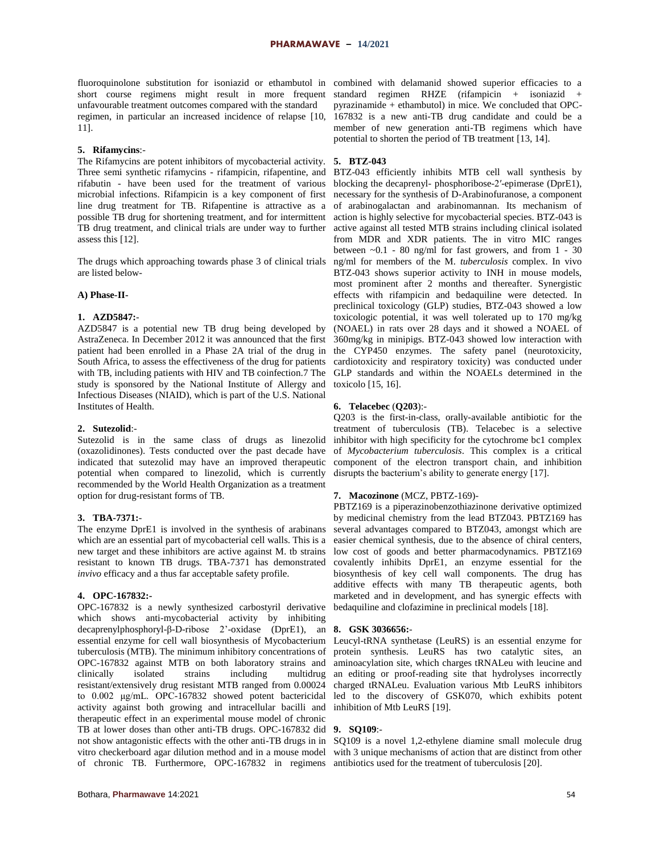unfavourable treatment outcomes compared with the standard 11].

#### **5. Rifamycins**:-

The Rifamycins are potent inhibitors of mycobacterial activity. **5. BTZ-043** Three semi synthetic rifamycins - rifampicin, rifapentine, and BTZ-043 efficiently inhibits MTB cell wall synthesis by possible TB drug for shortening treatment, and for intermittent TB drug treatment, and clinical trials are under way to further assess this [12].

The drugs which approaching towards phase 3 of clinical trials are listed below-

# **A) Phase-II-**

# **1. AZD5847:**-

AZD5847 is a potential new TB drug being developed by AstraZeneca. In December 2012 it was announced that the first patient had been enrolled in a Phase 2A trial of the drug in South Africa, to assess the effectiveness of the drug for patients with TB, including patients with HIV and TB coinfection.7 The study is sponsored by the National Institute of Allergy and Infectious Diseases (NIAID), which is part of the U.S. National Institutes of Health.

#### **2. Sutezolid**:-

Sutezolid is in the same class of drugs as linezolid (oxazolidinones). Tests conducted over the past decade have indicated that sutezolid may have an improved therapeutic potential when compared to linezolid, which is currently recommended by the World Health Organization as a treatment option for drug-resistant forms of TB.

### **3. TBA-7371:**-

The enzyme DprE1 is involved in the synthesis of arabinans which are an essential part of mycobacterial cell walls. This is a new target and these inhibitors are active against M. tb strains resistant to known TB drugs. TBA-7371 has demonstrated *invivo* efficacy and a thus far acceptable safety profile.

#### **4. OPC-167832:-**

OPC-167832 is a newly synthesized carbostyril derivative which shows anti-mycobacterial activity by inhibiting decaprenylphosphoryl-β-D-ribose 2'-oxidase (DprE1), an **8. GSK 3036656:** essential enzyme for cell wall biosynthesis of Mycobacterium Leucyl-tRNA synthetase (LeuRS) is an essential enzyme for clinically isolated strains including multidrug resistant/extensively drug resistant MTB ranged from 0.00024 activity against both growing and intracellular bacilli and inhibition of Mtb LeuRS [19]. therapeutic effect in an experimental mouse model of chronic TB at lower doses than other anti-TB drugs. OPC-167832 did **9. SQ109**: not show antagonistic effects with the other anti-TB drugs in in SQ109 is a novel 1,2-ethylene diamine small molecule drug vitro checkerboard agar dilution method and in a mouse model with 3 unique mechanisms of action that are distinct from other of chronic TB. Furthermore, OPC-167832 in regimens antibiotics used for the treatment of tuberculosis [20].

fluoroquinolone substitution for isoniazid or ethambutol in combined with delamanid showed superior efficacies to a short course regimens might result in more frequent standard regimen RHZE (rifampicin + isoniazid + regimen, in particular an increased incidence of relapse [10, 167832 is a new anti-TB drug candidate and could be a pyrazinamide + ethambutol) in mice. We concluded that OPCmember of new generation anti-TB regimens which have potential to shorten the period of TB treatment [13, 14].

rifabutin - have been used for the treatment of various blocking the decaprenyl- phosphoribose-2′-epimerase (DprE1), microbial infections. Rifampicin is a key component of first necessary for the synthesis of D-Arabinofuranose, a component line drug treatment for TB. Rifapentine is attractive as a of arabinogalactan and arabinomannan. Its mechanism of action is highly selective for mycobacterial species. BTZ-043 is active against all tested MTB strains including clinical isolated from MDR and XDR patients. The in vitro MIC ranges between  $\sim 0.1$  - 80 ng/ml for fast growers, and from 1 - 30 ng/ml for members of the M. *tuberculosis* complex. In vivo BTZ-043 shows superior activity to INH in mouse models, most prominent after 2 months and thereafter. Synergistic effects with rifampicin and bedaquiline were detected. In preclinical toxicology (GLP) studies, BTZ-043 showed a low toxicologic potential, it was well tolerated up to 170 mg/kg (NOAEL) in rats over 28 days and it showed a NOAEL of 360mg/kg in minipigs. BTZ-043 showed low interaction with the CYP450 enzymes. The safety panel (neurotoxicity, cardiotoxicity and respiratory toxicity) was conducted under GLP standards and within the NOAELs determined in the toxicolo [15, 16].

#### **6. Telacebec** (**Q203**):-

Q203 is the first-in-class, orally-available antibiotic for the treatment of tuberculosis (TB). Telacebec is a selective inhibitor with high specificity for the cytochrome bc1 complex of *Mycobacterium tuberculosis*. This complex is a critical component of the electron transport chain, and inhibition disrupts the bacterium's ability to generate energy [17].

### **7. Macozinone** (MCZ, PBTZ-169)-

PBTZ169 is a piperazinobenzothiazinone derivative optimized by medicinal chemistry from the lead BTZ043. PBTZ169 has several advantages compared to BTZ043, amongst which are easier chemical synthesis, due to the absence of chiral centers, low cost of goods and better pharmacodynamics. PBTZ169 covalently inhibits DprE1, an enzyme essential for the biosynthesis of key cell wall components. The drug has additive effects with many TB therapeutic agents, both marketed and in development, and has synergic effects with bedaquiline and clofazimine in preclinical models [18].

tuberculosis (MTB). The minimum inhibitory concentrations of protein synthesis. LeuRS has two catalytic sites, an OPC-167832 against MTB on both laboratory strains and aminoacylation site, which charges tRNALeu with leucine and to 0.002 μg/mL. OPC-167832 showed potent bactericidal led to the discovery of GSK070, which exhibits potent an editing or proof-reading site that hydrolyses incorrectly charged tRNALeu. Evaluation various Mtb LeuRS inhibitors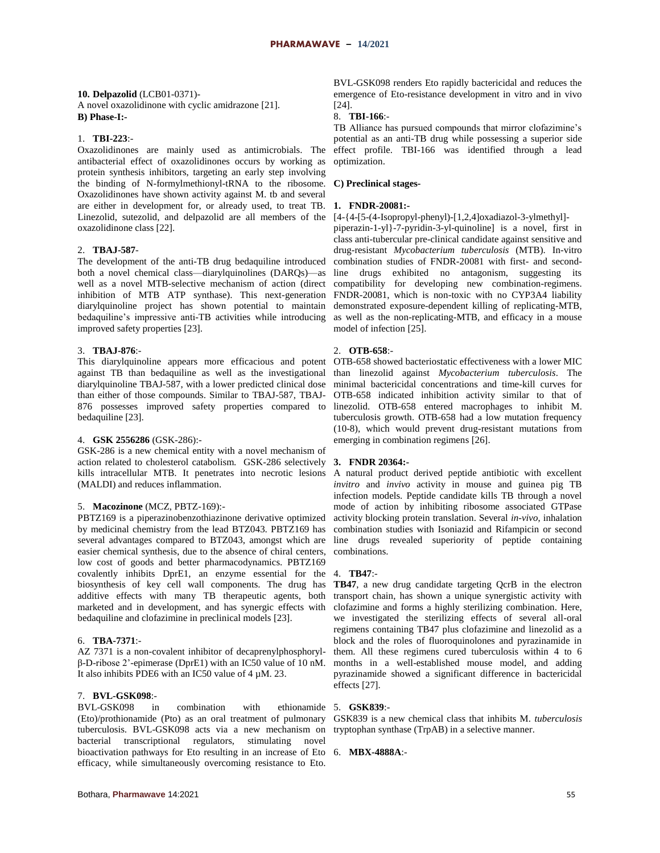# **10. Delpazolid** (LCB01-0371)- A novel oxazolidinone with cyclic amidrazone [21]. **B) Phase-I:-**

### 1. **TBI-223**:-

Oxazolidinones are mainly used as antimicrobials. The antibacterial effect of oxazolidinones occurs by working as protein synthesis inhibitors, targeting an early step involving the binding of N-formylmethionyl-tRNA to the ribosome. Oxazolidinones have shown activity against M. tb and several are either in development for, or already used, to treat TB. **1. FNDR-20081:-** Linezolid, sutezolid, and delpazolid are all members of the [4-{4-[5-(4-Isopropyl-phenyl)-[1,2,4]oxadiazol-3-ylmethyl]oxazolidinone class [22].

# 2. **TBAJ-587**-

The development of the anti-TB drug bedaquiline introduced both a novel chemical class—diarylquinolines (DARQs)—as well as a novel MTB-selective mechanism of action (direct inhibition of MTB ATP synthase). This next-generation diarylquinoline project has shown potential to maintain bedaquiline's impressive anti-TB activities while introducing improved safety properties [23].

# 3. **TBAJ-876**:-

This diarylquinoline appears more efficacious and potent against TB than bedaquiline as well as the investigational diarylquinoline TBAJ-587, with a lower predicted clinical dose than either of those compounds. Similar to TBAJ-587, TBAJ-876 possesses improved safety properties compared to bedaquiline [23].

# 4. **GSK 2556286** (GSK-286):-

GSK-286 is a new chemical entity with a novel mechanism of action related to cholesterol catabolism. GSK-286 selectively **3. FNDR 20364:** kills intracellular MTB. It penetrates into necrotic lesions A natural product derived peptide antibiotic with excellent (MALDI) and reduces inflammation.

# 5. **Macozinone** (MCZ, PBTZ-169):-

PBTZ169 is a piperazinobenzothiazinone derivative optimized by medicinal chemistry from the lead BTZ043. PBTZ169 has several advantages compared to BTZ043, amongst which are easier chemical synthesis, due to the absence of chiral centers, low cost of goods and better pharmacodynamics. PBTZ169 covalently inhibits DprE1, an enzyme essential for the 4. **TB47**: biosynthesis of key cell wall components. The drug has additive effects with many TB therapeutic agents, both marketed and in development, and has synergic effects with bedaquiline and clofazimine in preclinical models [23].

# 6. **TBA-7371**:-

AZ 7371 is a non-covalent inhibitor of decaprenylphosphorylβ-D-ribose 2'-epimerase (DprE1) with an IC50 value of 10 nM. It also inhibits PDE6 with an IC50 value of 4 µM. 23.

### 7. **BVL-GSK098**:-

BVL-GSK098 in combination with (Eto)/prothionamide (Pto) as an oral treatment of pulmonary GSK839 is a new chemical class that inhibits M. *tuberculosis* tuberculosis. BVL-GSK098 acts via a new mechanism on tryptophan synthase (TrpAB) in a selective manner. bacterial transcriptional regulators, stimulating novel bioactivation pathways for Eto resulting in an increase of Eto 6. **MBX-4888A**:efficacy, while simultaneously overcoming resistance to Eto.

BVL-GSK098 renders Eto rapidly bactericidal and reduces the emergence of Eto-resistance development in vitro and in vivo  $[24]$ 

### 8. **TBI-166**:-

TB Alliance has pursued compounds that mirror clofazimine's potential as an anti-TB drug while possessing a superior side effect profile. TBI-166 was identified through a lead optimization.

### **C) Preclinical stages-**

piperazin-1-yl}-7-pyridin-3-yl-quinoline] is a novel, first in class anti-tubercular pre-clinical candidate against sensitive and drug-resistant *Mycobacterium tuberculosis* (MTB). In-vitro combination studies of FNDR-20081 with first- and secondline drugs exhibited no antagonism, suggesting its compatibility for developing new combination-regimens. FNDR-20081, which is non-toxic with no CYP3A4 liability demonstrated exposure-dependent killing of replicating-MTB, as well as the non-replicating-MTB, and efficacy in a mouse model of infection [25].

# 2. **OTB-658**:-

OTB-658 showed bacteriostatic effectiveness with a lower MIC than linezolid against *Mycobacterium tuberculosis*. The minimal bactericidal concentrations and time-kill curves for OTB-658 indicated inhibition activity similar to that of linezolid. OTB-658 entered macrophages to inhibit M. tuberculosis growth. OTB-658 had a low mutation frequency (10-8), which would prevent drug-resistant mutations from emerging in combination regimens [26].

*invitro* and *invivo* activity in mouse and guinea pig TB infection models. Peptide candidate kills TB through a novel mode of action by inhibiting ribosome associated GTPase activity blocking protein translation. Several *in-vivo*, inhalation combination studies with Isoniazid and Rifampicin or second line drugs revealed superiority of peptide containing combinations.

**TB47**, a new drug candidate targeting QcrB in the electron transport chain, has shown a unique synergistic activity with clofazimine and forms a highly sterilizing combination. Here, we investigated the sterilizing effects of several all-oral regimens containing TB47 plus clofazimine and linezolid as a block and the roles of fluoroquinolones and pyrazinamide in them. All these regimens cured tuberculosis within 4 to 6 months in a well-established mouse model, and adding pyrazinamide showed a significant difference in bactericidal effects [27].

#### 5. **GSK839**:-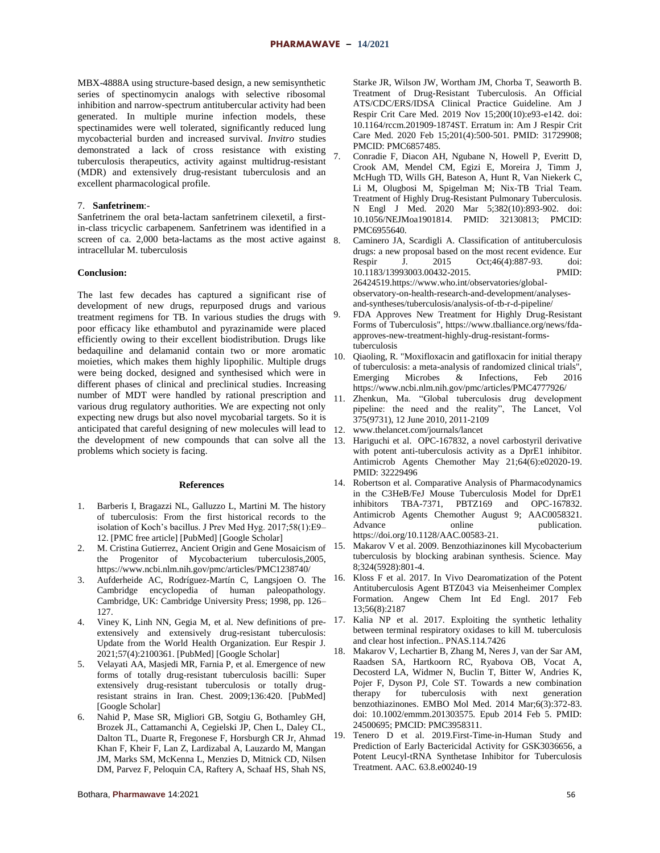MBX-4888A using structure-based design, a new semisynthetic series of spectinomycin analogs with selective ribosomal inhibition and narrow-spectrum antitubercular activity had been generated. In multiple murine infection models, these spectinamides were well tolerated, significantly reduced lung mycobacterial burden and increased survival. *Invitro* studies demonstrated a lack of cross resistance with existing tuberculosis therapeutics, activity against multidrug-resistant (MDR) and extensively drug-resistant tuberculosis and an excellent pharmacological profile.

# 7. **Sanfetrinem**:-

Sanfetrinem the oral beta-lactam sanfetrinem cilexetil, a firstin-class tricyclic carbapenem. Sanfetrinem was identified in a screen of ca. 2,000 beta-lactams as the most active against 8 intracellular M. tuberculosis

# **Conclusion:**

The last few decades has captured a significant rise of development of new drugs, repurposed drugs and various treatment regimens for TB. In various studies the drugs with poor efficacy like ethambutol and pyrazinamide were placed efficiently owing to their excellent biodistribution. Drugs like bedaquiline and delamanid contain two or more aromatic moieties, which makes them highly lipophilic. Multiple drugs were being docked, designed and synthesised which were in different phases of clinical and preclinical studies. Increasing number of MDT were handled by rational prescription and various drug regulatory authorities. We are expecting not only expecting new drugs but also novel mycobarial targets. So it is anticipated that careful designing of new molecules will lead to the development of new compounds that can solve all the 13. Hariguchi et al. OPC-167832, a novel carbostyril derivative problems which society is facing.

#### **References**

- 1. Barberis I, Bragazzi NL, Galluzzo L, Martini M. The history of tuberculosis: From the first historical records to the isolation of Koch's bacillus. J Prev Med Hyg. 2017;58(1):E9– 12. [PMC free article] [PubMed] [Google Scholar]
- 2. M. Cristina Gutierrez, Ancient Origin and Gene Mosaicism of 15. the Progenitor of Mycobacterium tuberculosis,2005, https://www.ncbi.nlm.nih.gov/pmc/articles/PMC1238740/
- 3. Aufderheide AC, Rodríguez-Martín C, Langsjoen O. The Cambridge encyclopedia of human paleopathology. Cambridge, UK: Cambridge University Press; 1998, pp. 126– 127.
- 4. Viney K, Linh NN, Gegia M, et al. New definitions of preextensively and extensively drug-resistant tuberculosis: Update from the World Health Organization. Eur Respir J. 2021;57(4):2100361. [PubMed] [Google Scholar]
- 5. Velayati AA, Masjedi MR, Farnia P, et al. Emergence of new forms of totally drug-resistant tuberculosis bacilli: Super extensively drug-resistant tuberculosis or totally drugresistant strains in Iran. Chest. 2009;136:420. [PubMed] [Google Scholar]
- 6. Nahid P, Mase SR, Migliori GB, Sotgiu G, Bothamley GH, Brozek JL, Cattamanchi A, Cegielski JP, Chen L, Daley CL, Dalton TL, Duarte R, Fregonese F, Horsburgh CR Jr, Ahmad Khan F, Kheir F, Lan Z, Lardizabal A, Lauzardo M, Mangan JM, Marks SM, McKenna L, Menzies D, Mitnick CD, Nilsen DM, Parvez F, Peloquin CA, Raftery A, Schaaf HS, Shah NS,

Starke JR, Wilson JW, Wortham JM, Chorba T, Seaworth B. Treatment of Drug-Resistant Tuberculosis. An Official ATS/CDC/ERS/IDSA Clinical Practice Guideline. Am J Respir Crit Care Med. 2019 Nov 15;200(10):e93-e142. doi: 10.1164/rccm.201909-1874ST. Erratum in: Am J Respir Crit Care Med. 2020 Feb 15;201(4):500-501. PMID: 31729908; PMCID: PMC6857485.

- 7. Conradie F, Diacon AH, Ngubane N, Howell P, Everitt D, Crook AM, Mendel CM, Egizi E, Moreira J, Timm J, McHugh TD, Wills GH, Bateson A, Hunt R, Van Niekerk C, Li M, Olugbosi M, Spigelman M; Nix-TB Trial Team. Treatment of Highly Drug-Resistant Pulmonary Tuberculosis. N Engl J Med. 2020 Mar 5;382(10):893-902. doi: 10.1056/NEJMoa1901814. PMID: 32130813; PMCID: PMC6955640.
- 8. Caminero JA, Scardigli A. Classification of antituberculosis drugs: a new proposal based on the most recent evidence. Eur Respir J. 2015 Oct;46(4):887-93. doi: 10.1183/13993003.00432-2015. PMID: 26424519.https://www.who.int/observatories/globalobservatory-on-health-research-and-development/analysesand-syntheses/tuberculosis/analysis-of-tb-r-d-pipeline/
- 9. FDA Approves New Treatment for Highly Drug-Resistant Forms of Tuberculosis", https://www.tballiance.org/news/fdaapproves-new-treatment-highly-drug-resistant-formstuberculosis
- 10. Qiaoling, R. "Moxifloxacin and gatifloxacin for initial therapy of tuberculosis: a meta-analysis of randomized clinical trials", Emerging Microbes & Infections, Feb 2016 https://www.ncbi.nlm.nih.gov/pmc/articles/PMC4777926/
- 11. Zhenkun, Ma. "Global tuberculosis drug development pipeline: the need and the reality", The Lancet, Vol 375(9731), 12 June 2010, 2011-2109
- 12. www.thelancet.com/journals/lancet
- with potent anti-tuberculosis activity as a DprE1 inhibitor. Antimicrob Agents Chemother May 21;64(6):e02020-19. PMID: 32229496
- 14. Robertson et al. Comparative Analysis of Pharmacodynamics in the C3HeB/FeJ Mouse Tuberculosis Model for DprE1 inhibitors TBA-7371, PBTZ169 and OPC-167832. Antimicrob Agents Chemother August 9; AAC0058321. Advance online publication. https://doi.org/10.1128/AAC.00583-21.
- 15. Makarov V et al. 2009. Benzothiazinones kill Mycobacterium tuberculosis by blocking arabinan synthesis. Science. May 8;324(5928):801-4.
- 16. Kloss F et al. 2017. In Vivo Dearomatization of the Potent Antituberculosis Agent BTZ043 via Meisenheimer Complex Formation. Angew Chem Int Ed Engl. 2017 Feb 13;56(8):2187
- Kalia NP et al. 2017. Exploiting the synthetic lethality between terminal respiratory oxidases to kill M. tuberculosis and clear host infection.. PNAS.114.7426
- 18. Makarov V, Lechartier B, Zhang M, Neres J, van der Sar AM, Raadsen SA, Hartkoorn RC, Ryabova OB, Vocat A, Decosterd LA, Widmer N, Buclin T, Bitter W, Andries K, Pojer F, Dyson PJ, Cole ST. Towards a new combination therapy for tuberculosis with next generation benzothiazinones. EMBO Mol Med. 2014 Mar;6(3):372-83. doi: 10.1002/emmm.201303575. Epub 2014 Feb 5. PMID: 24500695; PMCID: PMC3958311.
- 19. Tenero D et al. 2019.First-Time-in-Human Study and Prediction of Early Bactericidal Activity for GSK3036656, a Potent Leucyl-tRNA Synthetase Inhibitor for Tuberculosis Treatment. AAC. 63.8.e00240-19